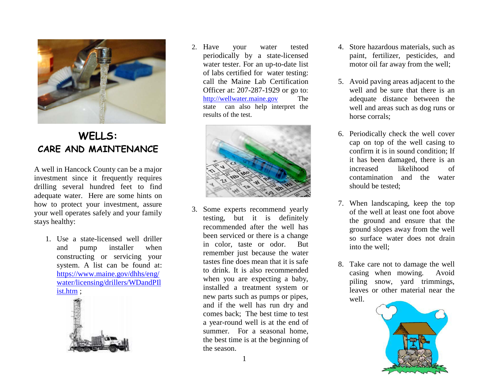

## **WELLS: CARE AND MAINTENANCE**

A well in Hancock County can be a major investment since it frequently requires drilling several hundred feet to find adequate water. Here are some hints on how to protect your investment, assure your well operates safely and your family stays healthy:

1. Use a state-licensed well driller and pump installer when constructing or servicing your system. A list can be found at: [https://www.maine.gov/dhhs/eng/](https://www.maine.gov/dhhs/eng/water/licensing/drillers/WDandPIlist.htm) [water/licensing/drillers/WDandPIl](https://www.maine.gov/dhhs/eng/water/licensing/drillers/WDandPIlist.htm) [ist.htm](https://www.maine.gov/dhhs/eng/water/licensing/drillers/WDandPIlist.htm) ;



2. Have your water tested periodically by a state-licensed water tester. For an up-to-date list of labs certified for water testing: call the Maine Lab Certification Officer at: 207-287-1929 or go to: [http://wellwater.maine.gov](http://wellwater.maine.gov/) The state can also help interpret the results of the test.



3. Some experts recommend yearly testing, but it is definitely recommended after the well has been serviced or there is a change in color, taste or odor. But remember just because the water tastes fine does mean that it is safe to drink. It is also recommended when you are expecting a baby, installed a treatment system or new parts such as pumps or pipes, and if the well has run dry and comes back; The best time to test a year-round well is at the end of summer. For a seasonal home, the best time is at the beginning of the season.

- 4. Store hazardous materials, such as paint, fertilizer, pesticides, and motor oil far away from the well;
- 5. Avoid paving areas adjacent to the well and be sure that there is an adequate distance between the well and areas such as dog runs or horse corrals;
- 6. Periodically check the well cover cap on top of the well casing to confirm it is in sound condition; If it has been damaged, there is an increased likelihood of contamination and the water should be tested;
- 7. When landscaping, keep the top of the well at least one foot above the ground and ensure that the ground slopes away from the well so surface water does not drain into the well;
- 8. Take care not to damage the well casing when mowing. Avoid piling snow, yard trimmings, leaves or other material near the well.